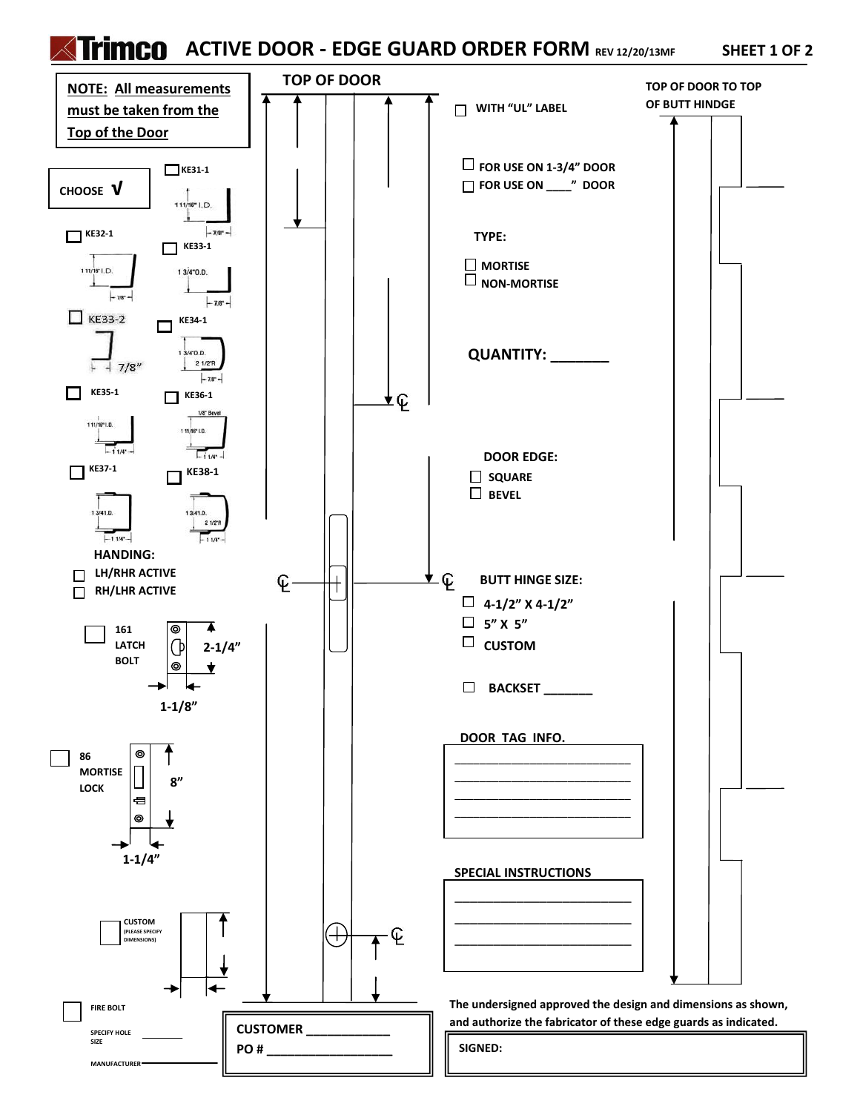## **ACTIVE DOOR - EDGE GUARD ORDER FORM REV 12/20/13MF SHEET 1 OF 2**